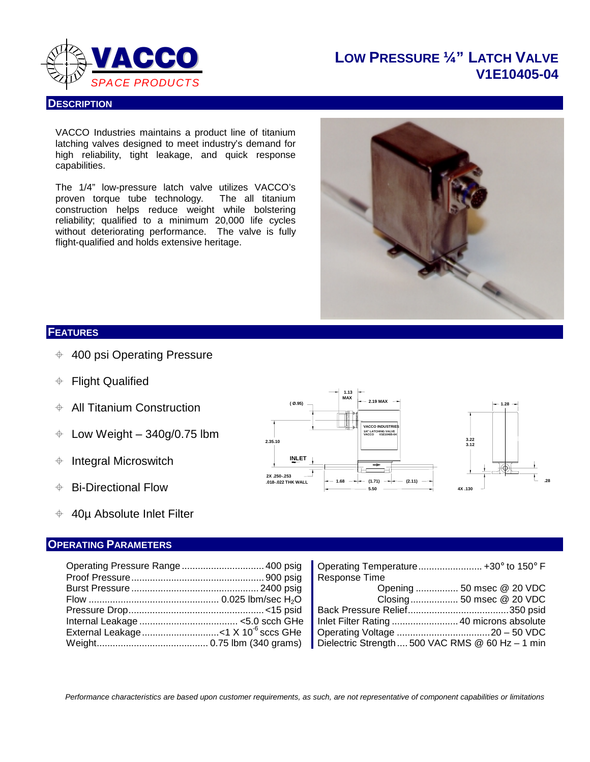

**DESCRIPTION**

### **LOW PRESSURE ¼" LATCH VALVE V1E10405-04**

VACCO Industries maintains a product line of titanium latching valves designed to meet industry's demand for high reliability, tight leakage, and quick response capabilities.

The 1/4" low-pressure latch valve utilizes VACCO's<br>proven torque tube technology. The all titanium proven torque tube technology. construction helps reduce weight while bolstering reliability; qualified to a minimum 20,000 life cycles without deteriorating performance. The valve is fully flight-qualified and holds extensive heritage.



#### **FEATURES**

- $+$  400 psi Operating Pressure
- Flight Qualified
- All Titanium Construction
- $\div$  Low Weight 340g/0.75 lbm
- $\triangleq$  Integral Microswitch
- **♦ Bi-Directional Flow**
- $\div$  40µ Absolute Inlet Filter

#### **OPERATING PARAMETERS**

| Operating Pressure Range  400 psig | Operating Temperature +30° to 150° F             |  |
|------------------------------------|--------------------------------------------------|--|
|                                    | Response Time                                    |  |
|                                    |                                                  |  |
|                                    |                                                  |  |
|                                    |                                                  |  |
|                                    |                                                  |  |
|                                    |                                                  |  |
|                                    | Dielectric Strength  500 VAC RMS @ 60 Hz - 1 min |  |

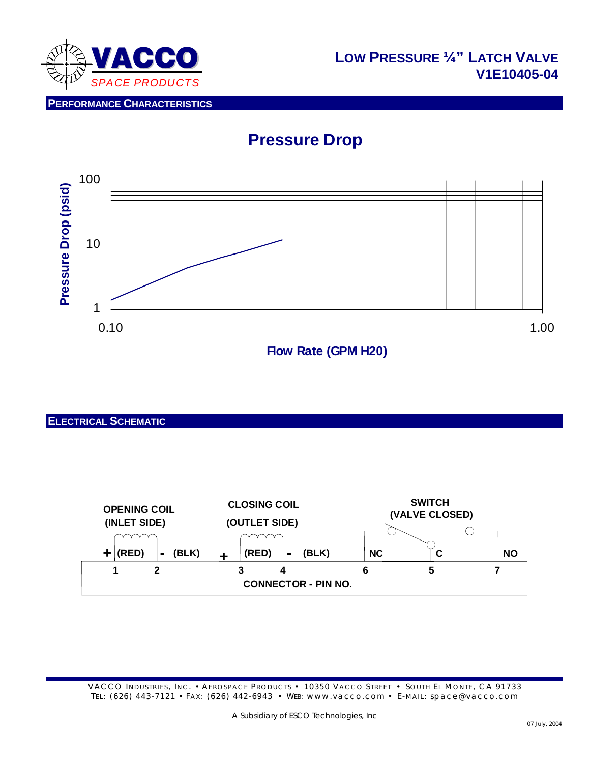

**PERFORMANCE CHARACTERISTICS**

# **Pressure Drop**



**Flow Rate (GPM H20)**

**ELECTRICAL SCHEMATIC**

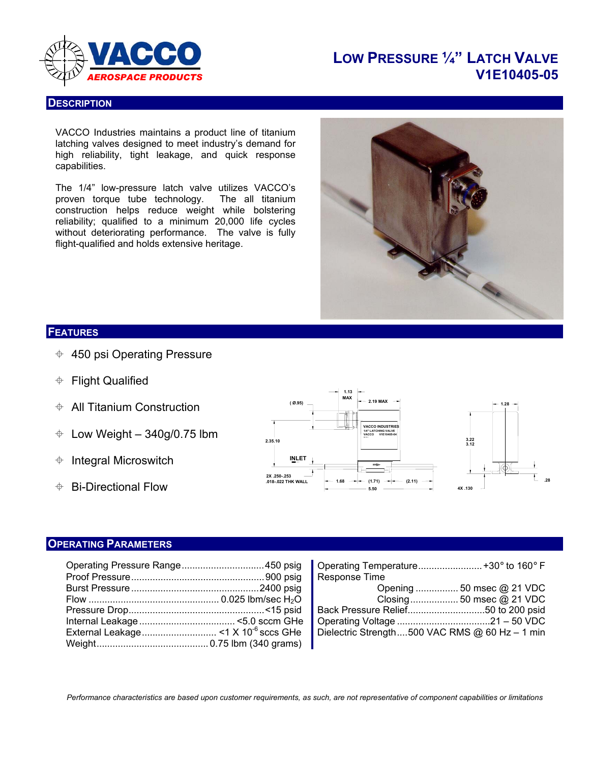

### **LOW PRESSURE ¼" LATCH VALVE** *AEROSPACE PRODUCTS* **V1E10405-05**

#### **DESCRIPTION**

VACCO Industries maintains a product line of titanium latching valves designed to meet industry's demand for high reliability, tight leakage, and quick response capabilities.

The 1/4" low-pressure latch valve utilizes VACCO's proven torque tube technology. The all titanium construction helps reduce weight while bolstering reliability; qualified to a minimum 20,000 life cycles without deteriorating performance. The valve is fully flight-qualified and holds extensive heritage.



#### **FEATURES**

- $\div$  450 psi Operating Pressure
- **← Flight Qualified**
- $\triangleq$  All Titanium Construction
- $\div$  Low Weight 340g/0.75 lbm
- $\triangleq$  Integral Microswitch
- $\triangleq$  Bi-Directional Flow



#### **OPERATING PARAMETERS**

|  | Response Time                                  |
|--|------------------------------------------------|
|  |                                                |
|  |                                                |
|  |                                                |
|  |                                                |
|  | Dielectric Strength500 VAC RMS @ 60 Hz - 1 min |
|  |                                                |

| Operating Pressure Range450 psig   Operating Temperature +30° to 160° F                                               |                                                |  |
|-----------------------------------------------------------------------------------------------------------------------|------------------------------------------------|--|
|                                                                                                                       |                                                |  |
|                                                                                                                       |                                                |  |
| Flow ……………………………………………………………………0.025 Ibm/sec H <sub>2</sub> O Letter Construct Closing ……………………………………50 msec @ 21 VDC |                                                |  |
|                                                                                                                       |                                                |  |
| Internal Leakage ……………………………… <5.0 sccm GHe   Operating Voltage ………………………………21 – 50 VDC                               |                                                |  |
|                                                                                                                       | Dielectric Strength500 VAC RMS @ 60 Hz - 1 min |  |
|                                                                                                                       |                                                |  |

*Performance characteristics are based upon customer requirements, as such, are not representative of component capabilities or limitations*

L.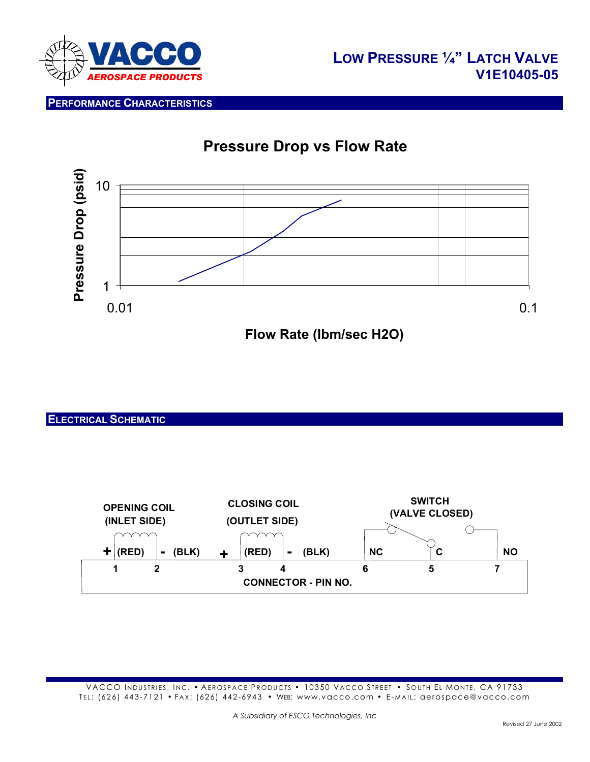

**PERFORMANCE CHARACTERISTICS**

# **Pressure Drop vs Flow Rate**



**Flow Rate (lbm/sec H2O)**

#### **ELECTRICAL SCHEMATIC**

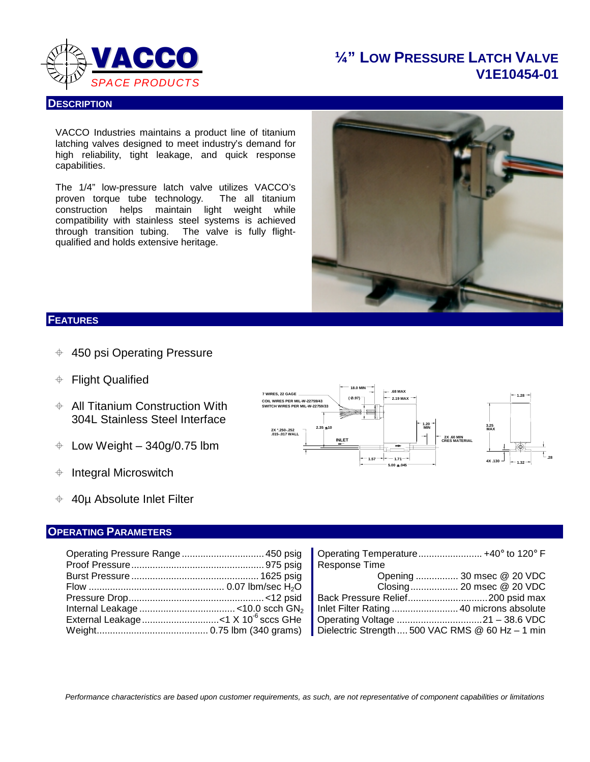

### **¼" LOW PRESSURE LATCH VALVE V1E10454-01**

#### **DESCRIPTION**

VACCO Industries maintains a product line of titanium latching valves designed to meet industry's demand for high reliability, tight leakage, and quick response capabilities.

The 1/4" low-pressure latch valve utilizes VACCO's proven torque tube technology. The all titanium construction helps maintain light weight while compatibility with stainless steel systems is achieved through transition tubing. The valve is fully flightqualified and holds extensive heritage.



#### **FEATURES**

- $\div$  450 psi Operating Pressure
- Flight Qualified
- **← All Titanium Construction With** 304L Stainless Steel Interface
- $\div$  Low Weight 340g/0.75 lbm
- $\triangleq$  Integral Microswitch
- $\div$  40µ Absolute Inlet Filter

#### **OPERATING PARAMETERS**

|  | Operating Temp         |
|--|------------------------|
|  | Response Time          |
|  | Or                     |
|  | – Cl                   |
|  | <b>Back Pressure F</b> |
|  | Inlet Filter Rating    |
|  | Operating Voltag       |
|  |                        |

| <b>ERATING PARAMETERS</b> |                                                                                               |
|---------------------------|-----------------------------------------------------------------------------------------------|
|                           |                                                                                               |
|                           | Operating Pressure Range ……………………………450 psig   Operating Temperature …………………… +40° to 120° F  |
|                           | Response Time                                                                                 |
|                           | Burst Pressure …………………………………………… 1625 psig   Cpening …………… 30 msec @ 20 VDC                   |
|                           | Flow ……………………………………………… 0.07 lbm/sec H <sub>2</sub> O         Closing ……………… 20 msec @ 20 VDC |
|                           |                                                                                               |
|                           |                                                                                               |
|                           |                                                                                               |
|                           | Dielectric Strength  500 VAC RMS @ 60 Hz - 1 min                                              |

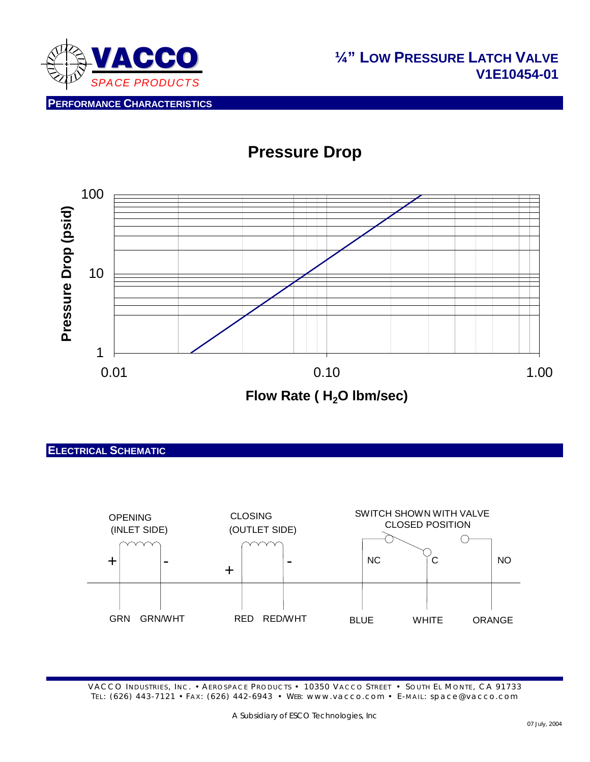

### **Pressure Drop @ 450 psig Pressure Drop**



#### **ELECTRICAL SCHEMATIC**

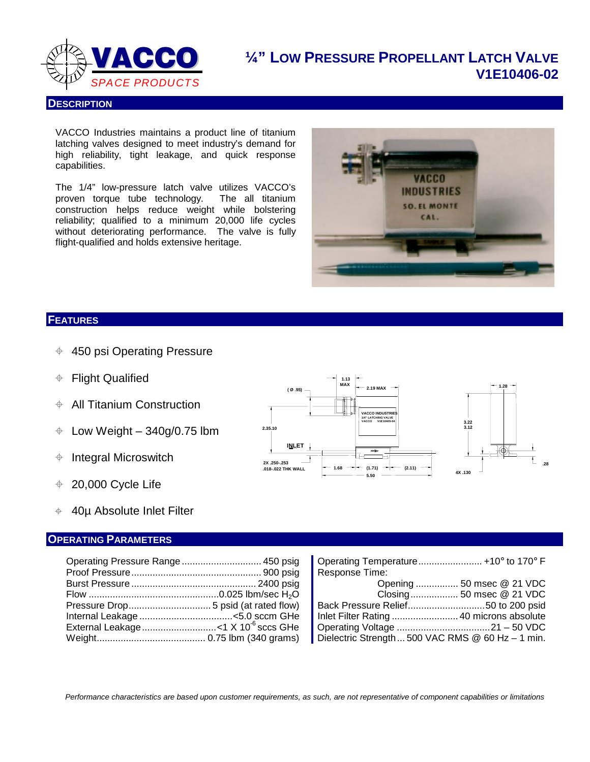

# **¼" LOW PRESSURE PROPELLANT LATCH VALVE V1E10406-02**

#### **DESCRIPTION**

VACCO Industries maintains a product line of titanium latching valves designed to meet industry's demand for high reliability, tight leakage, and quick response capabilities.

The 1/4" low-pressure latch valve utilizes VACCO's proven torque tube technology. The all titanium construction helps reduce weight while bolstering reliability; qualified to a minimum 20,000 life cycles without deteriorating performance. The valve is fully flight-qualified and holds extensive heritage.



#### **FEATURES**

- $\div$  450 psi Operating Pressure
- Flight Qualified
- $\triangleq$  All Titanium Construction
- $\div$  Low Weight 340g/0.75 lbm
- $\triangleq$  Integral Microswitch
- $\div$  20,000 Cycle Life
- 40µ Absolute Inlet Filter

#### **OPERATING PARAMETERS**

|  | Operating Tempe     |
|--|---------------------|
|  | Response Time:      |
|  | <b>Example 19</b>   |
|  |                     |
|  | Back Pressure R     |
|  | Inlet Filter Rating |
|  | Operating Voltage   |
|  | Dielectric Strengt  |

| Operating Pressure Range  450 psig | Operating Temperature +10° to 170° F                  |
|------------------------------------|-------------------------------------------------------|
|                                    | Response Time:                                        |
|                                    | Opening  50 msec @ 21 VDC                             |
|                                    |                                                       |
|                                    |                                                       |
|                                    |                                                       |
|                                    |                                                       |
|                                    | Dielectric Strength  500 VAC RMS $@$ 60 Hz $-$ 1 min. |

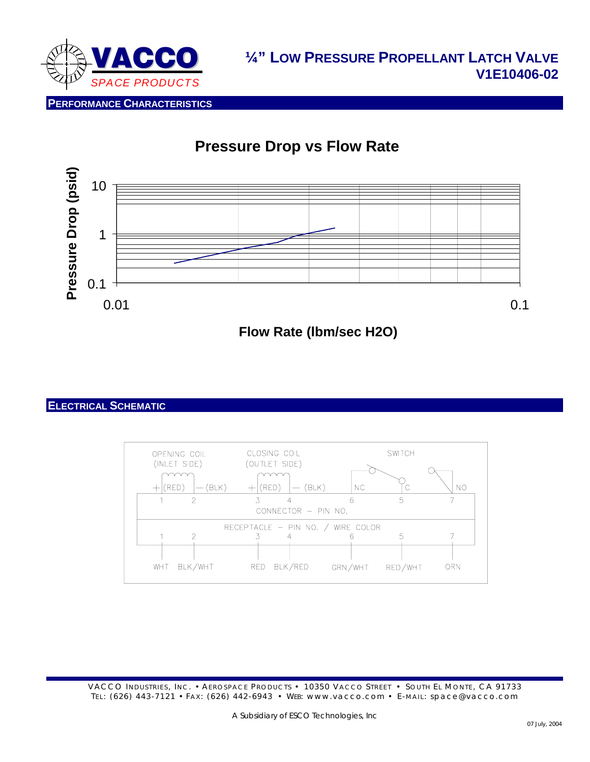

# **Pressure Drop vs Flow Rate**



#### **ELECTRICAL SCHEMATIC**

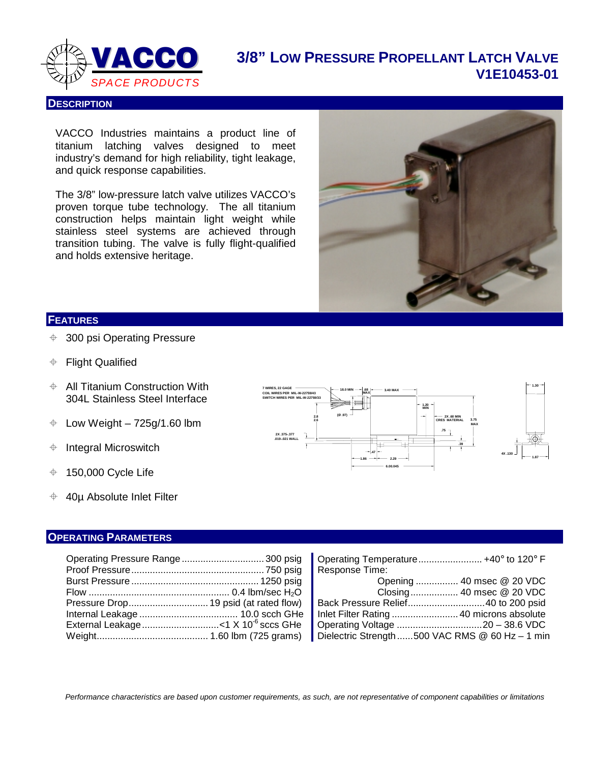

# **3/8" LOW PRESSURE PROPELLANT LATCH VALVE V1E10453-01**

#### **DESCRIPTION**

VACCO Industries maintains a product line of titanium latching valves designed to meet industry's demand for high reliability, tight leakage, and quick response capabilities.

The 3/8" low-pressure latch valve utilizes VACCO's proven torque tube technology. The all titanium construction helps maintain light weight while stainless steel systems are achieved through transition tubing. The valve is fully flight-qualified and holds extensive heritage.



#### **FEATURES**

- 300 psi Operating Pressure
- Flight Qualified
- $\triangleq$  All Titanium Construction With 304L Stainless Steel Interface
- $\div$  Low Weight 725g/1.60 lbm
- $\triangleq$  Integral Microswitch
- $\div$  150,000 Cycle Life
- $\div$  40µ Absolute Inlet Filter

#### **7 WIRES, 22 GAGE 1.86 .47 6.00.045 2.29 2.6 2X .375-.377 .019-.021 WALL SWITCH WIRES PER MIL-W-22759/33 COIL WIRES PER MIL-W-22759/43 2.8 18.0 MIN .68 MAX (Ø .97) 3.40 MAX CRES MATERIAL 3.75 .39 .75 MAX 2X .60 MIN 1.20 MIN 1.30 4X .130 1.87**

#### **OPERATING PARAMETERS**

|  | Operating Temperature +40° to 120° F |                           |
|--|--------------------------------------|---------------------------|
|  | Response Time:                       |                           |
|  |                                      | Opening  40 msec @ 20 VDC |
|  |                                      |                           |
|  |                                      |                           |
|  |                                      |                           |
|  |                                      |                           |
|  |                                      |                           |

|                | Operating Temperature +40° to 120° F            |
|----------------|-------------------------------------------------|
| Response Time: |                                                 |
|                | Opening  40 msec @ 20 VDC                       |
|                | Closing 40 msec @ 20 VDC                        |
|                |                                                 |
|                |                                                 |
|                |                                                 |
|                | Dielectric Strength 500 VAC RMS @ 60 Hz - 1 min |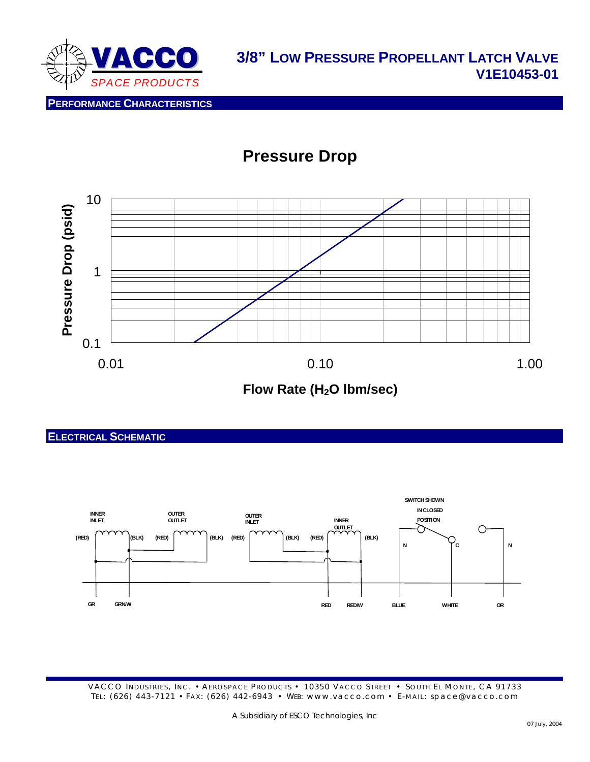

# **Pressure Drop**



### **ELECTRICAL SCHEMATIC**

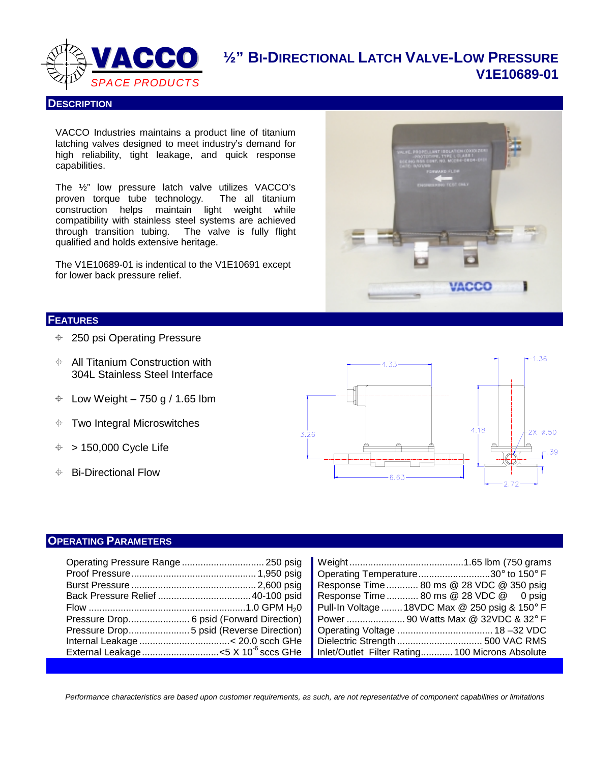

**VACCO** 1/2" BI-DIRECTIONAL LATCH VALVE-LOW PRESSURE **V1E10689-01**

#### **DESCRIPTION**

VACCO Industries maintains a product line of titanium latching valves designed to meet industry's demand for high reliability, tight leakage, and quick response capabilities.

The ½" low pressure latch valve utilizes VACCO's proven torque tube technology. The all titanium construction helps maintain light weight while compatibility with stainless steel systems are achieved through transition tubing. The valve is fully flight qualified and holds extensive heritage.

The V1E10689-01 is indentical to the V1E10691 except for lower back pressure relief.

#### **FEATURES**

- 250 psi Operating Pressure
- $\triangleq$  All Titanium Construction with 304L Stainless Steel Interface
- $\div$  Low Weight 750 g / 1.65 lbm
- $\div$  Two Integral Microswitches
- $\div$  > 150,000 Cycle Life
- **♦ Bi-Directional Flow**



**VACCO** 

#### **OPERATING PARAMETERS**

|                                                | Operating Temperature30° to 150° F              |
|------------------------------------------------|-------------------------------------------------|
|                                                | Response Time 80 ms @ 28 VDC @ 350 psig         |
|                                                | Response Time  80 ms @ 28 VDC @ 0 psig          |
|                                                | Pull-In Voltage  18VDC Max @ 250 psig & 150° F  |
|                                                |                                                 |
|                                                |                                                 |
|                                                |                                                 |
| External Leakage<5 X 10 <sup>-6</sup> sccs GHe | Inlet/Outlet Filter Rating 100 Microns Absolute |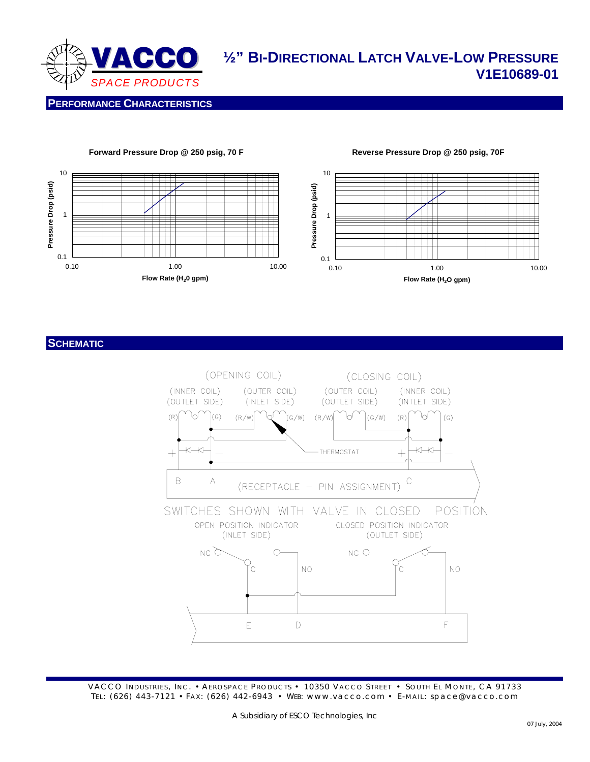

# **VACCO** 1/2" BI-DIRECTIONAL LATCH VALVE-LOW PRESSURE **V1E10689-01**

**Reverse Pressure Drop @ 250 psig, 70F** 

**PERFORMANCE CHARACTERISTICS**



#### **Forward Pressure Drop @ 250 psig, 70 F**

#### **SCHEMATIC**

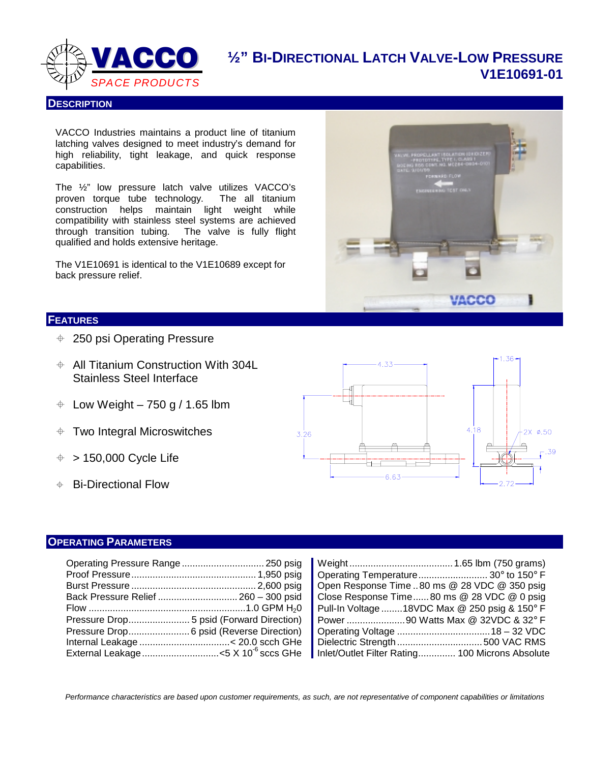

**½" BI-DIRECTIONAL LATCH VALVE-LOW PRESSURE V1E10691-01**

#### **DESCRIPTION**

VACCO Industries maintains a product line of titanium latching valves designed to meet industry's demand for high reliability, tight leakage, and quick response capabilities.

The ½" low pressure latch valve utilizes VACCO's proven torque tube technology. The all titanium construction helps maintain light weight while compatibility with stainless steel systems are achieved through transition tubing. The valve is fully flight qualified and holds extensive heritage.

The V1E10691 is identical to the V1E10689 except for back pressure relief.

#### **FEATURES**

- 250 psi Operating Pressure
- $\div$  All Titanium Construction With 304L Stainless Steel Interface
- $\div$  Low Weight 750 g / 1.65 lbm
- Two Integral Microswitches
- $\div$  > 150,000 Cycle Life
- Bi-Directional Flow



#### **OPERATING PARAMETERS**

|                                                | Operating Temperature 30° to 150° F                    |
|------------------------------------------------|--------------------------------------------------------|
|                                                | Open Response Time 80 ms @ 28 VDC @ 350 psig           |
|                                                | Close Response Time80 ms @ 28 VDC @ 0 psig             |
|                                                | Pull-In Voltage 18VDC Max @ 250 psig & 150 $\degree$ F |
|                                                | Power 90 Watts Max @ 32VDC & 32° F                     |
|                                                |                                                        |
|                                                |                                                        |
| External Leakage<5 X 10 <sup>-6</sup> sccs GHe | Inlet/Outlet Filter Rating 100 Microns Absolute        |

| Open Response Time  80 ms @ 28 VDC @ 350 psig   |  |
|-------------------------------------------------|--|
| Close Response Time80 ms @ 28 VDC @ 0 psig      |  |
| Pull-In Voltage 18VDC Max @ 250 psig & 150° F   |  |
|                                                 |  |
|                                                 |  |
|                                                 |  |
| Inlet/Outlet Filter Rating 100 Microns Absolute |  |
|                                                 |  |

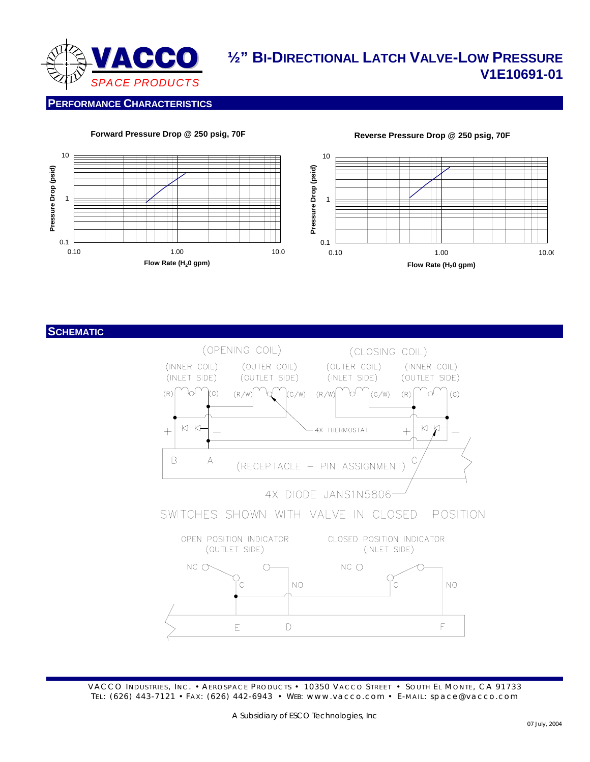

# **½" BI-DIRECTIONAL LATCH VALVE-LOW PRESSURE V1E10691-01**

#### **PERFORMANCE CHARACTERISTICS**



**Forward Pressure Drop @ 250 psig, 70F** 



#### **SCHEMATIC**

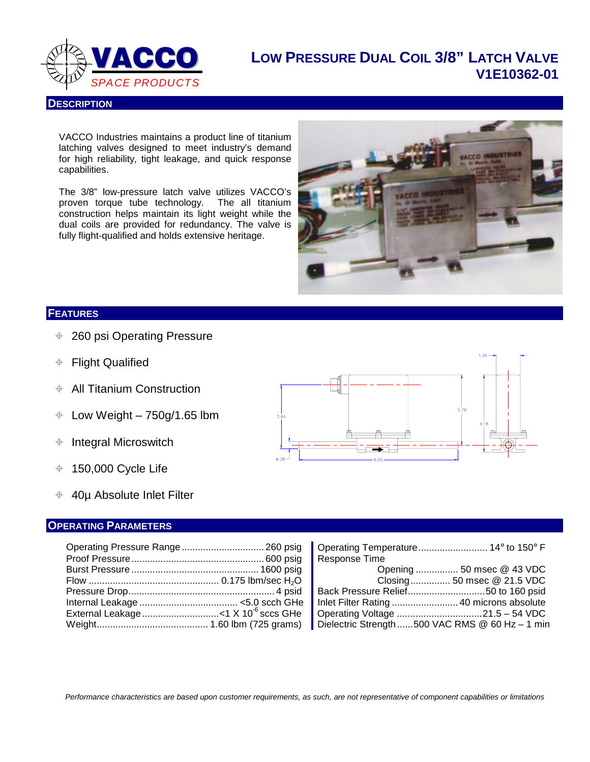

### **LOW PRESSURE DUAL COIL 3/8" LATCH VALVE V1E10362-01**

**DESCRIPTION**

VACCO Industries maintains a product line of titanium latching valves designed to meet industry's demand for high reliability, tight leakage, and quick response capabilities.

The 3/8" low-pressure latch valve utilizes VACCO's proven torque tube technology. The all titanium construction helps maintain its light weight while the dual coils are provided for redundancy. The valve is fully flight-qualified and holds extensive heritage.



#### **FEATURES**

- 260 psi Operating Pressure
- Flight Qualified
- $\div$  All Titanium Construction
- $\div$  Low Weight 750g/1.65 lbm
- $\triangleq$  Integral Microswitch
- $+$  150,000 Cycle Life
- 40µ Absolute Inlet Filter

#### **OPERATING PARAMETERS**

|  | Response Time                     |  |
|--|-----------------------------------|--|
|  |                                   |  |
|  | <b>Closing 50 msec @ 21.5 VDC</b> |  |
|  |                                   |  |
|  |                                   |  |
|  |                                   |  |
|  |                                   |  |



| Internal Leakage ………………………………… <5.0 scch GHe   Inlet Filter Rating …………………… 40 microns absolute |  |  |
|-------------------------------------------------------------------------------------------------|--|--|
|                                                                                                 |  |  |
|                                                                                                 |  |  |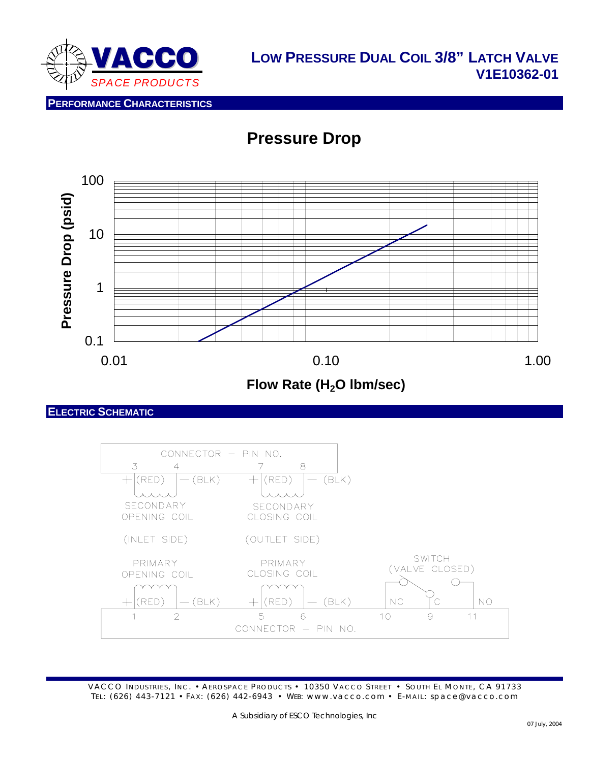

**PERFORMANCE CHARACTERISTICS**

# **Pressure Drop**



Flow Rate (H<sub>2</sub>O lbm/sec)

**ELECTRIC SCHEMATIC**

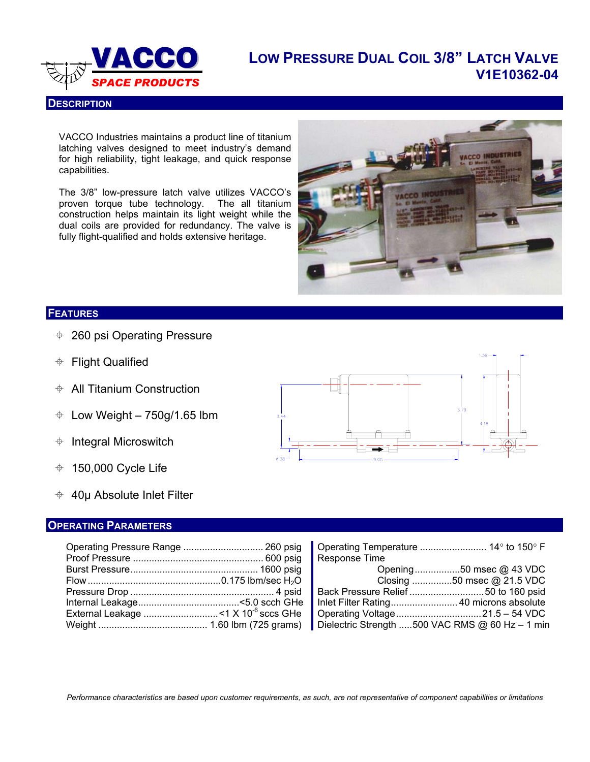

**DESCRIPTION**

# **LOW PRESSURE DUAL COIL 3/8" LATCH VALVE V1E10362-04** *SPACE PRODUCTS*

VACCO Industries maintains a product line of titanium latching valves designed to meet industry's demand for high reliability, tight leakage, and quick response capabilities.

The 3/8" low-pressure latch valve utilizes VACCO's proven torque tube technology. The all titanium construction helps maintain its light weight while the dual coils are provided for redundancy. The valve is fully flight-qualified and holds extensive heritage.



#### **FEATURES**

- 260 psi Operating Pressure
- **♦ Flight Qualified**
- $\triangle$  All Titanium Construction
- $\div$  Low Weight 750g/1.65 lbm
- $\triangleq$  Integral Microswitch
- $+$  150,000 Cycle Life
- $\div$  40µ Absolute Inlet Filter

#### **OPERATING PARAMETERS**



|  | Response Time                                                                                         |
|--|-------------------------------------------------------------------------------------------------------|
|  |                                                                                                       |
|  | Flow ……………………………………………0.175 lbm/sec H <sub>2</sub> O        Closing ……………50 msec @ 21.5 VDC           |
|  | Pressure Drop …………………………………………………………………………4 psid   Back Pressure Relief ……………………………50 to 160 psid     |
|  |                                                                                                       |
|  | External Leakage …………………………<1 X 10 <sup>6</sup> sccs GHe   Operating Voltage ……………………………21.5 – 54 VDC |
|  |                                                                                                       |
|  |                                                                                                       |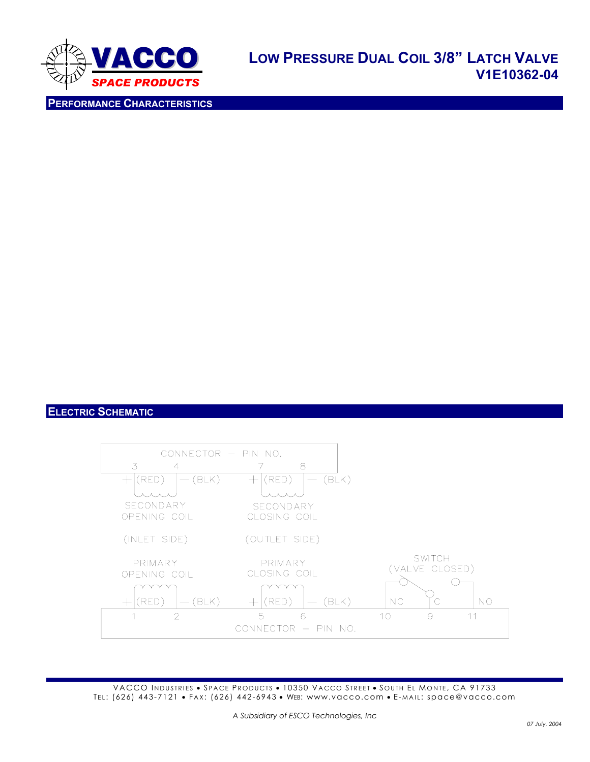

**PERFORMANCE CHARACTERISTICS**

### **ELECTRIC SCHEMATIC**

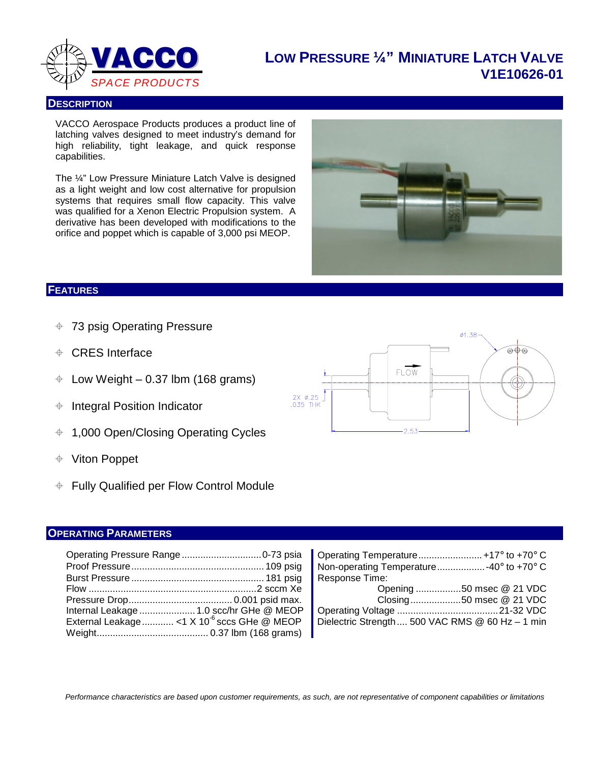

# **LOW PRESSURE ¼" MINIATURE LATCH VALVE V1E10626-01**

#### **DESCRIPTION**

VACCO Aerospace Products produces a product line of latching valves designed to meet industry's demand for high reliability, tight leakage, and quick response capabilities.

The ¼" Low Pressure Miniature Latch Valve is designed as a light weight and low cost alternative for propulsion systems that requires small flow capacity. This valve was qualified for a Xenon Electric Propulsion system. A derivative has been developed with modifications to the orifice and poppet which is capable of 3,000 psi MEOP.



#### **FEATURES**

- 73 psig Operating Pressure
- CRES Interface
- $\div$  Low Weight 0.37 lbm (168 grams)
- $\triangleq$  Integral Position Indicator
- 1,000 Open/Closing Operating Cycles
- Viton Poppet
- Fully Qualified per Flow Control Module

#### **OPERATING PARAMETERS**

|                                                          | Non-operating Temperature-40° to +70° C         |
|----------------------------------------------------------|-------------------------------------------------|
|                                                          | Response Time:                                  |
|                                                          | Opening 50 msec @ 21 VDC                        |
|                                                          | $\sim$ Closing50 msec @ 21 VDC                  |
| Internal Leakage  1.0 scc/hr GHe @ MEOP                  |                                                 |
| External Leakage  < 1 X 10 <sup>-6</sup> sccs GHe @ MEOP | Dielectric Strength 500 VAC RMS @ 60 Hz - 1 min |
|                                                          |                                                 |



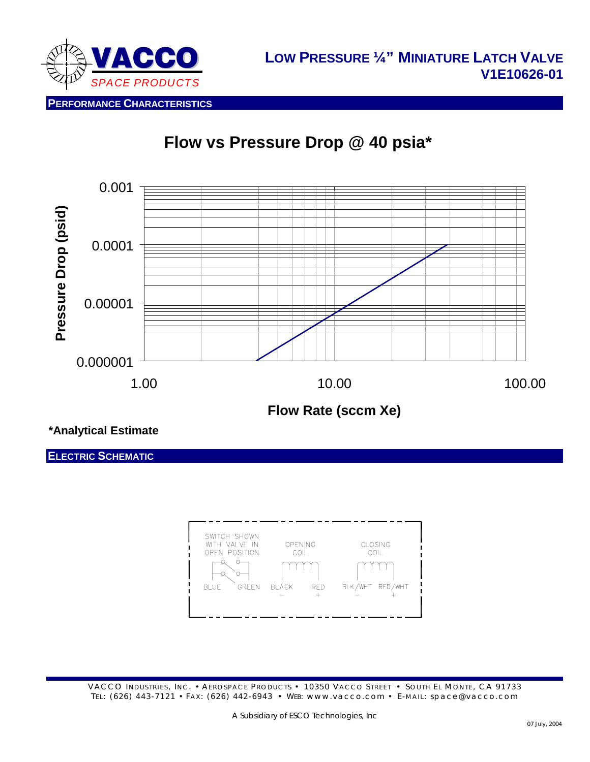

**Flow vs Pressure Drop @ 40 psia\*** 



**\*Analytical Estimate** 

**ELECTRIC SCHEMATIC**

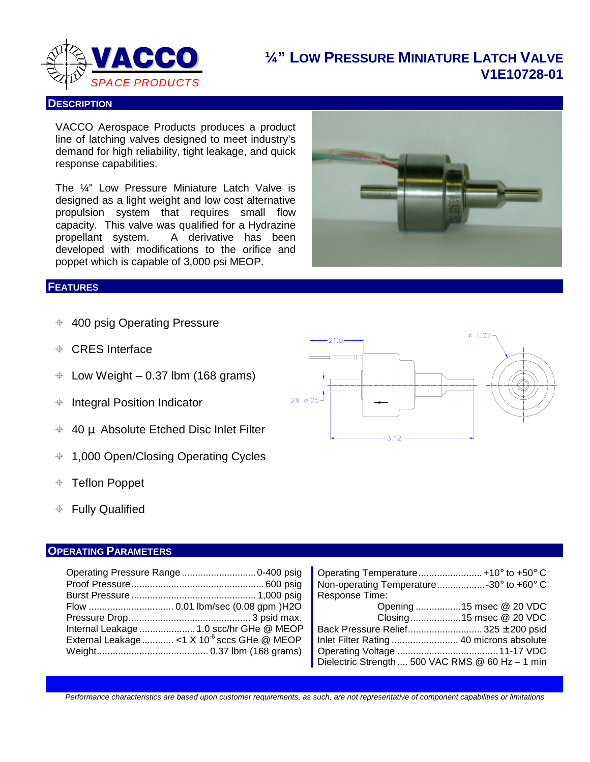

# **¼" LOW PRESSURE MINIATURE LATCH VALVE V1E10728-01**

#### **DESCRIPTION**

VACCO Aerospace Products produces a product line of latching valves designed to meet industry's demand for high reliability, tight leakage, and quick response capabilities.

The ¼" Low Pressure Miniature Latch Valve is designed as a light weight and low cost alternative propulsion system that requires small flow capacity. This valve was qualified for a Hydrazine propellant system. A derivative has been developed with modifications to the orifice and poppet which is capable of 3,000 psi MEOP.

#### **FEATURES**

- $\div$  400 psig Operating Pressure
- CRES Interface
- $\div$  Low Weight 0.37 lbm (168 grams)
- $\triangleq$  Integral Position Indicator
- $\div$  40 µ Absolute Etched Disc Inlet Filter
- $+$  1,000 Open/Closing Operating Cycles
- Teflon Poppet
- Fully Qualified

### **OPERATING PARAMETERS**

|                                                          | Non-operating Temperature30° to +60° C                                                |
|----------------------------------------------------------|---------------------------------------------------------------------------------------|
|                                                          | Response Time:                                                                        |
|                                                          | Opening 15 msec @ 20 VDC<br>$\mathbf{U}$ and $\mathbf{U}$ are the set of $\mathbf{U}$ |
|                                                          |                                                                                       |
| Internal Leakage  1.0 scc/hr GHe @ MEOP                  | Back Pressure Relief 325 $\pm$ 200 psid                                               |
| External Leakage  < 1 X 10 <sup>-6</sup> sccs GHe @ MEOP |                                                                                       |
|                                                          |                                                                                       |
|                                                          | Dielectric Strength  500 VAC RMS @ 60 Hz - 1 min                                      |